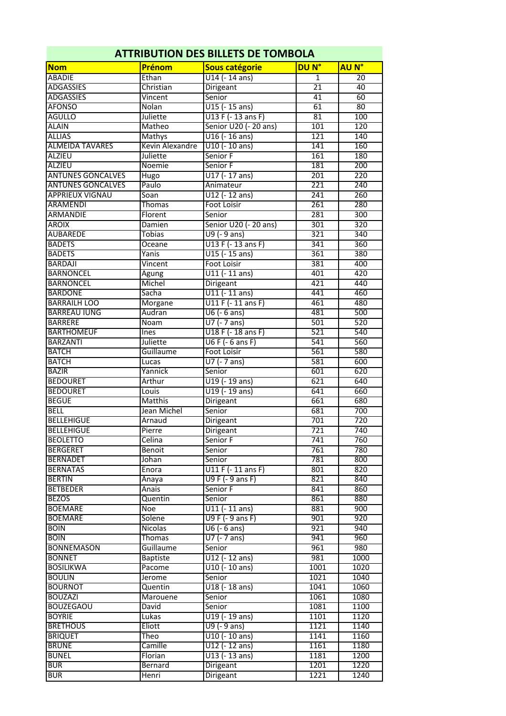| <b>ATTRIBUTION DES BILLETS DE TOMBOLA</b> |                 |                       |                  |                  |  |
|-------------------------------------------|-----------------|-----------------------|------------------|------------------|--|
| <b>Nom</b>                                | Prénom          | Sous catégorie        | DU <sub>N°</sub> | <b>AU N°</b>     |  |
| <b>ABADIE</b>                             | Ethan           | $U14 (- 14 ans)$      | $\mathbf{1}$     | 20               |  |
| <b>ADGASSIES</b>                          | Christian       | <b>Dirigeant</b>      | $\overline{21}$  | 40               |  |
| <b>ADGASSIES</b>                          | Vincent         | Senior                | 41               | 60               |  |
| <b>AFONSO</b>                             | <b>Nolan</b>    | $U15$ (-15 ans)       | 61               | 80               |  |
| <b>AGULLO</b>                             | Juliette        | U13 F (-13 ans F)     | $\overline{81}$  | 100              |  |
| <b>ALAIN</b>                              | Matheo          | Senior U20 (- 20 ans) | 101              | 120              |  |
| <b>ALLIAS</b>                             | Mathys          | $U16$ (-16 ans)       | 121              | 140              |  |
| <b>ALMEIDA TAVARES</b>                    | Kevin Alexandre | $U10 (-10$ ans)       | 141              | 160              |  |
| <b>ALZIEU</b>                             | Juliette        | Senior F              | 161              | 180              |  |
| <b>ALZIEU</b>                             | Noemie          | Senior F              | 181              | $\overline{200}$ |  |
| <b>ANTUNES GONCALVES</b>                  | Hugo            | $U17$ (-17 ans)       | 201              | 220              |  |
| <b>ANTUNES GONCALVES</b>                  | Paulo           | Animateur             | $\overline{221}$ | 240              |  |
| <b>APPRIEUX VIGNAU</b>                    | Soan            | U12 (-12 ans)         | 241              | 260              |  |
| <b>ARAMENDI</b>                           | Thomas          | Foot Loisir           | 261              | 280              |  |
| <b>ARMANDIE</b>                           | Florent         | Senior                | 281              | 300              |  |
| <b>AROIX</b>                              | Damien          | Senior U20 (- 20 ans) | 301              | 320              |  |
| <b>AUBAREDE</b>                           | Tobias          | U9 (- 9 ans)          | 321              | 340              |  |
| <b>BADETS</b>                             |                 | U13 F (-13 ans F)     | 341              | 360              |  |
| <b>BADETS</b>                             | Oceane          |                       |                  |                  |  |
| <b>BARDAJI</b>                            | Yanis           | $U15$ (-15 ans)       | 361              | 380              |  |
|                                           | Vincent         | <b>Foot Loisir</b>    | 381              | 400              |  |
| <b>BARNONCEL</b>                          | Agung           | $U11$ (-11 ans)       | 401              | 420              |  |
| <b>BARNONCEL</b>                          | Michel          | Dirigeant             | 421              | 440              |  |
| <b>BARDONE</b>                            | Sacha           | $U11$ (-11 ans)       | 441              | 460              |  |
| <b>BARRAILH LOO</b>                       | Morgane         | U11 F (-11 ans F)     | 461              | 480              |  |
| <b>BARREAU IUNG</b>                       | Audran          | $U6$ (- 6 ans)        | 481              | 500              |  |
| <b>BARRERE</b>                            | Noam            | $U7$ (- 7 ans)        | 501              | 520              |  |
| <b>BARTHOMEUF</b>                         | Ines            | U18 F (-18 ans F)     | 521              | 540              |  |
| <b>BARZANTI</b>                           | Juliette        | U6 F (- 6 ans F)      | 541              | 560              |  |
| <b>BATCH</b>                              | Guillaume       | Foot Loisir           | 561              | 580              |  |
| <b>BATCH</b>                              | Lucas           | U7 (- 7 ans)          | 581              | 600              |  |
| <b>BAZIR</b>                              | Yannick         | Senior                | 601              | 620              |  |
| <b>BEDOURET</b>                           | Arthur          | U19 (-19 ans)         | 621              | 640              |  |
| <b>BEDOURET</b>                           | Louis           | $U19$ (- 19 ans)      | 641              | 660              |  |
| <b>BEGUE</b>                              | Matthis         | <b>Dirigeant</b>      | 661              | 680              |  |
| <b>BELL</b>                               | Jean Michel     | Senior                | 681              | 700              |  |
| <b>BELLEHIGUE</b>                         | Arnaud          | Dirigeant             | 701              | $\overline{720}$ |  |
| BELLEHIGUE                                | Pierre          | Dirigeant             | 721              | 740              |  |
| <b>BEOLETTO</b>                           | Celina          | Senior F              | 741              | 760              |  |
| <b>BERGERET</b>                           | Benoit          | Senior                | 761              | 780              |  |
| <b>BERNADET</b>                           | Johan           | Senior                | 781              | 800              |  |
| <b>BERNATAS</b>                           | Enora           | U11 F (-11 ans F)     | 801              | 820              |  |
| <b>BERTIN</b>                             |                 | U9 F (- 9 ans F)      | 821              | 840              |  |
| <b>BETBEDER</b>                           | Anaya           | Senior F              | 841              | 860              |  |
| <b>BEZOS</b>                              | Anais           |                       |                  |                  |  |
|                                           | Quentin         | Senior                | 861              | 880              |  |
| <b>BOEMARE</b>                            | <b>Noe</b>      | $U11$ (-11 ans)       | 881              | 900              |  |
| <b>BOEMARE</b>                            | Solene          | U9 F (- 9 ans F)      | 901              | 920              |  |
| <b>BOIN</b>                               | Nicolas         | $U6$ (- 6 ans)        | 921              | 940              |  |
| <b>BOIN</b>                               | Thomas          | $U7$ (- 7 ans)        | 941              | 960              |  |
| <b>BONNEMASON</b>                         | Guillaume       | Senior                | 961              | 980              |  |
| <b>BONNET</b>                             | <b>Baptiste</b> | $U12$ (- 12 ans)      | 981              | 1000             |  |
| <b>BOSILIKWA</b>                          | Pacome          | U10 (-10 ans)         | 1001             | 1020             |  |
| <b>BOULIN</b>                             | Jerome          | Senior                | 1021             | 1040             |  |
| <b>BOURNOT</b>                            | Quentin         | U18 (- 18 ans)        | 1041             | 1060             |  |
| <b>BOUZAZI</b>                            | Marouene        | Senior                | 1061             | 1080             |  |
| <b>BOUZEGAOU</b>                          | David           | Senior                | 1081             | 1100             |  |
| <b>BOYRIE</b>                             | Lukas           | U19 (-19 ans)         | 1101             | 1120             |  |
| <b>BRETHOUS</b>                           | Eliott          | U9 (- 9 ans)          | 1121             | 1140             |  |
| <b>BRIQUET</b>                            | Theo            | U10 (-10 ans)         | 1141             | 1160             |  |
| <b>BRUNE</b>                              | Camille         | U12 (-12 ans)         | 1161             | 1180             |  |
| <b>BUNEL</b>                              | Florian         | U13 (- 13 ans)        | 1181             | 1200             |  |
| <b>BUR</b>                                | Bernard         | Dirigeant             | 1201             | 1220             |  |
|                                           |                 |                       |                  |                  |  |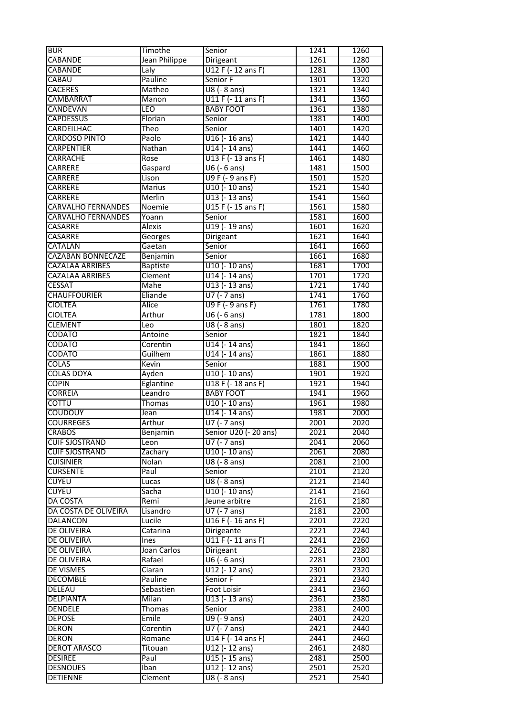| <b>BUR</b>                | Timothe         | Senior                                 | 1241 | 1260 |
|---------------------------|-----------------|----------------------------------------|------|------|
| <b>CABANDE</b>            | Jean Philippe   | Dirigeant                              | 1261 | 1280 |
| <b>CABANDE</b>            | Laly            | U12 F (- 12 ans F)                     | 1281 | 1300 |
| <b>CABAU</b>              | Pauline         | Senior F                               | 1301 | 1320 |
| <b>CACERES</b>            | Matheo          | $\overline{UB}$ (- 8 ans)              | 1321 | 1340 |
| <b>CAMBARRAT</b>          | Manon           | $U11$ F (- 11 ans F)                   | 1341 | 1360 |
| CANDEVAN                  | LEO             | <b>BABY FOOT</b>                       | 1361 | 1380 |
|                           |                 |                                        |      |      |
| <b>CAPDESSUS</b>          | Florian         | Senior                                 | 1381 | 1400 |
| <b>CARDEILHAC</b>         | Theo            | Senior                                 | 1401 | 1420 |
| <b>CARDOSO PINTO</b>      | Paolo           | $U16$ (-16 ans)                        | 1421 | 1440 |
| <b>CARPENTIER</b>         | Nathan          | U14 (-14 ans)                          | 1441 | 1460 |
| <b>CARRACHE</b>           | Rose            | U13 F (-13 ans F)                      | 1461 | 1480 |
| <b>CARRERE</b>            | Gaspard         | $U6$ (- 6 ans)                         | 1481 | 1500 |
| CARRERE                   | Lison           | U9 F (- 9 ans F)                       | 1501 | 1520 |
| <b>CARRERE</b>            | Marius          | U10 (-10 ans)                          | 1521 | 1540 |
| <b>CARRERE</b>            | Merlin          | U13 (- 13 ans)                         | 1541 | 1560 |
| <b>CARVALHO FERNANDES</b> | Noemie          | U15 F (- 15 ans F)                     | 1561 | 1580 |
| <b>CARVALHO FERNANDES</b> | Yoann           | Senior                                 | 1581 | 1600 |
| <b>CASARRE</b>            | <b>Alexis</b>   | U19 (-19 ans)                          | 1601 | 1620 |
| <b>CASARRE</b>            | Georges         | Dirigeant                              | 1621 | 1640 |
| <b>CATALAN</b>            | Gaetan          | Senior                                 | 1641 | 1660 |
| <b>CAZABAN BONNECAZE</b>  | Benjamin        | Senior                                 | 1661 | 1680 |
| <b>CAZALAA ARRIBES</b>    | <b>Baptiste</b> | U10 (-10 ans)                          | 1681 | 1700 |
| <b>CAZALAA ARRIBES</b>    | Clement         | U14 (-14 ans)                          | 1701 | 1720 |
| <b>CESSAT</b>             | Mahe            | U13 (-13 ans)                          | 1721 | 1740 |
| <b>CHAUFFOURIER</b>       | Eliande         | U7 (- 7 ans)                           | 1741 | 1760 |
| <b>CIOLTEA</b>            | Alice           | U9 F (- 9 ans F)                       | 1761 | 1780 |
| <b>CIOLTEA</b>            | Arthur          | $\overline{UB}$ (- 6 ans)              | 1781 | 1800 |
| <b>CLEMENT</b>            | Leo             | U8 (- 8 ans)                           | 1801 | 1820 |
| CODATO                    |                 | Senior                                 | 1821 | 1840 |
|                           | Antoine         | $U$ 14 (-14 ans)                       |      | 1860 |
| <b>CODATO</b>             | Corentin        |                                        | 1841 |      |
| CODATO                    | Guilhem         | U14 (-14 ans)                          | 1861 | 1880 |
| <b>COLAS</b>              | Kevin           | Senior                                 | 1881 | 1900 |
| <b>COLAS DOYA</b>         | Ayden           | U10 (-10 ans)                          | 1901 | 1920 |
| <b>COPIN</b>              | Eglantine       | U18 F (-18 ans F)                      | 1921 | 1940 |
| <b>CORREIA</b>            | Leandro         | <b>BABY FOOT</b>                       | 1941 | 1960 |
| <b>COTTU</b>              | Thomas          | U10 (-10 ans)                          | 1961 | 1980 |
| <b>COUDOUY</b>            | Jean            | U14 (-14 ans)                          | 1981 | 2000 |
| <b>COURREGES</b>          | Arthur          | $U7$ (- 7 ans)                         | 2001 | 2020 |
| <b>CRABOS</b>             | Benjamin        | Senior U20 (- 20 ans)                  | 2021 | 2040 |
| <b>CUIF SJOSTRAND</b>     | Leon            | $U\overline{7}$ (- $\overline{7}$ ans) | 2041 | 2060 |
| <b>CUIF SJOSTRAND</b>     | Zachary         | U10 (- 10 ans)                         | 2061 | 2080 |
| <b>CUISINIER</b>          | Nolan           | $U8$ (- $8$ ans)                       | 2081 | 2100 |
| <b>CURSENTE</b>           | Paul            | Senior                                 | 2101 | 2120 |
| <b>CUYEU</b>              | Lucas           | U8 (- 8 ans)                           | 2121 | 2140 |
| <b>CUYEU</b>              | Sacha           | U10 (- 10 ans)                         | 2141 | 2160 |
| <b>DA COSTA</b>           | Remi            | Jeune arbitre                          | 2161 | 2180 |
| DA COSTA DE OLIVEIRA      | Lisandro        | $U7$ (- 7 ans)                         | 2181 | 2200 |
| <b>DALANCON</b>           | Lucile          | U16 F (- 16 ans F)                     | 2201 | 2220 |
| <b>DE OLIVEIRA</b>        | Catarina        | Dirigeante                             | 2221 | 2240 |
| DE OLIVEIRA               | <b>Ines</b>     | $U11F(-11ansF)$                        | 2241 | 2260 |
| <b>DE OLIVEIRA</b>        | Joan Carlos     | Dirigeant                              | 2261 | 2280 |
| <b>DE OLIVEIRA</b>        | Rafael          | U6 (- 6 ans)                           | 2281 | 2300 |
| DE VISMES                 | Ciaran          | U12 (-12 ans)                          | 2301 | 2320 |
| <b>DECOMBLE</b>           | Pauline         | Senior F                               | 2321 | 2340 |
| DELEAU                    | Sebastien       | Foot Loisir                            | 2341 | 2360 |
| <b>DELPIANTA</b>          | Milan           | U13 (- 13 ans)                         | 2361 | 2380 |
| <b>DENDELE</b>            | Thomas          | Senior                                 | 2381 | 2400 |
| <b>DEPOSE</b>             | $E$ mile        | U9 (- 9 ans)                           | 2401 | 2420 |
| <b>DERON</b>              |                 | U7 (- 7 ans)                           | 2421 | 2440 |
|                           | Corentin        |                                        |      |      |
| <b>DERON</b>              | Romane          | U14 F (- 14 ans F)                     | 2441 | 2460 |
| <b>DEROT ARASCO</b>       | Titouan         | U12 (-12 ans)                          | 2461 | 2480 |
| <b>DESIREE</b>            | Paul            | U15 (- 15 ans)                         | 2481 | 2500 |
| <b>DESNOUES</b>           | Iban            | U12 (-12 ans)                          | 2501 | 2520 |
| <b>DETIENNE</b>           | Clement         | U8 (- 8 ans)                           | 2521 | 2540 |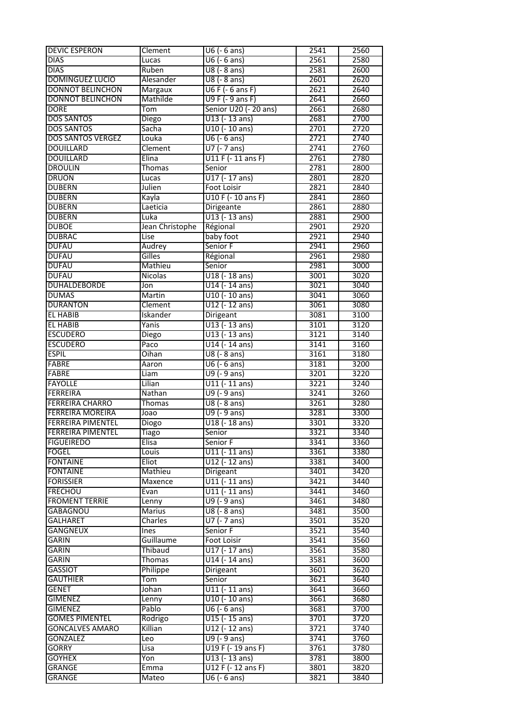| <b>DEVIC ESPERON</b>     | Clement         | U6 (- 6 ans)              | 2541 | 2560 |
|--------------------------|-----------------|---------------------------|------|------|
| <b>DIAS</b>              | Lucas           | U6 (- 6 ans)              | 2561 | 2580 |
| <b>DIAS</b>              | Ruben           | U8 (- 8 ans)              | 2581 | 2600 |
| <b>DOMINGUEZ LUCIO</b>   | Alesander       | U8 (- 8 ans)              | 2601 | 2620 |
| <b>DONNOT BELINCHON</b>  | <b>Margaux</b>  | $U6$ F ( $-6$ ans F)      | 2621 | 2640 |
| <b>DONNOT BELINCHON</b>  | Mathilde        | U9 F (- 9 ans F)          | 2641 | 2660 |
| <b>DORE</b>              | Tom             | Senior U20 (- 20 ans)     | 2661 | 2680 |
| <b>DOS SANTOS</b>        | Diego           | U13 (-13 ans)             | 2681 | 2700 |
| <b>DOS SANTOS</b>        | Sacha           | U10 (-10 ans)             | 2701 | 2720 |
| <b>DOS SANTOS VERGEZ</b> | Louka           | $\overline{UB}$ (- 6 ans) | 2721 | 2740 |
| <b>DOUILLARD</b>         | Clement         | U7 (- 7 ans)              | 2741 | 2760 |
| <b>DOUILLARD</b>         | Elina           | U11 F (-11 ans F)         | 2761 | 2780 |
| <b>DROULIN</b>           | Thomas          | Senior                    | 2781 | 2800 |
| <b>DRUON</b>             | Lucas           | U17 (- 17 ans)            | 2801 | 2820 |
| <b>DUBERN</b>            | Julien          | Foot Loisir               | 2821 | 2840 |
| <b>DUBERN</b>            | Kayla           | U10 F (- 10 ans F)        | 2841 | 2860 |
| <b>DUBERN</b>            | Laeticia        | Dirigeante                | 2861 | 2880 |
| <b>DUBERN</b>            | Luka            | U13 (-13 ans)             | 2881 | 2900 |
| <b>DUBOE</b>             | Jean Christophe | Régional                  | 2901 | 2920 |
| <b>DUBRAC</b>            | Lise            | baby foot                 | 2921 | 2940 |
| <b>DUFAU</b>             | Audrey          | Senior F                  | 2941 | 2960 |
| <b>DUFAU</b>             | Gilles          | Régional                  | 2961 | 2980 |
| <b>DUFAU</b>             | Mathieu         | Senior                    | 2981 | 3000 |
| <b>DUFAU</b>             | Nicolas         | U18 (-18 ans)             | 3001 | 3020 |
| <b>DUHALDEBORDE</b>      | Jon             | U14 (-14 ans)             | 3021 | 3040 |
| <b>DUMAS</b>             | Martin          | $U10$ (-10 ans)           | 3041 | 3060 |
| <b>DURANTON</b>          | Clement         | U12 (- 12 ans)            | 3061 | 3080 |
| EL HABIB                 | Iskander        | Dirigeant                 | 3081 | 3100 |
| <b>EL HABIB</b>          | Yanis           | U13 (-13 ans)             | 3101 | 3120 |
| <b>ESCUDERO</b>          | Diego           | U13 (-13 ans)             | 3121 | 3140 |
| <b>ESCUDERO</b>          | Paco            | U14 (-14 ans)             | 3141 | 3160 |
| <b>ESPIL</b>             | Oihan           | U8 (- 8 ans)              | 3161 | 3180 |
| <b>FABRE</b>             | Aaron           | $U6$ (- 6 ans)            | 3181 | 3200 |
| <b>FABRE</b>             | Liam            | U9 (- 9 ans)              | 3201 | 3220 |
| <b>FAYOLLE</b>           | Lilian          | $U11$ (-11 ans)           | 3221 | 3240 |
| <b>FERREIRA</b>          | Nathan          | U9 (- 9 ans)              | 3241 | 3260 |
| <b>FERREIRA CHARRO</b>   | <b>Thomas</b>   | U8 (- 8 ans)              | 3261 | 3280 |
| <b>FERREIRA MOREIRA</b>  | Joao            | U9 (- 9 ans)              | 3281 | 3300 |
| <b>FERREIRA PIMENTEL</b> | Diogo           | U18 (-18 ans)             | 3301 | 3320 |
| <b>FERREIRA PIMENTEL</b> | <b>Tiago</b>    | Senior                    | 3321 | 3340 |
| <b>FIGUEIREDO</b>        | <b>Elisa</b>    | Senior F                  | 3341 | 3360 |
| <b>FOGEL</b>             | Louis           | U11 (- 11 ans)            | 3361 | 3380 |
| <b>FONTAINE</b>          | Eliot           | U12 (-12 ans)             | 3381 | 3400 |
| <b>FONTAINE</b>          | Mathieu         | Dirigeant                 | 3401 | 3420 |
| <b>FORISSIER</b>         | Maxence         | U11 (-11 ans)             | 3421 | 3440 |
| <b>FRECHOU</b>           | Evan            | U11 (-11 ans)             | 3441 | 3460 |
| <b>FROMENT TERRIE</b>    | Lenny           | U9 (- 9 ans)              | 3461 | 3480 |
| <b>GABAGNOU</b>          | Marius          | U8 (- 8 ans)              | 3481 | 3500 |
| <b>GALHARET</b>          | Charles         | U7 (- 7 ans)              | 3501 | 3520 |
| <b>GANGNEUX</b>          | <b>T</b> nes    | Senior F                  | 3521 | 3540 |
| <b>GARIN</b>             | Guillaume       | Foot Loisir               | 3541 | 3560 |
| <b>GARIN</b>             | Thibaud         | U17 (- 17 ans)            | 3561 | 3580 |
| GARIN                    | Thomas          | U14 (-14 ans)             | 3581 | 3600 |
| <b>GASSIOT</b>           | Philippe        | Dirigeant                 | 3601 | 3620 |
| <b>GAUTHIER</b>          | Tom             | Senior                    | 3621 | 3640 |
| <b>GENET</b>             | Johan           | U11 (-11 ans)             | 3641 | 3660 |
| <b>GIMENEZ</b>           | Lenny           | U10 (- 10 ans)            | 3661 | 3680 |
| <b>GIMENEZ</b>           | Pablo           | $U6$ (- 6 ans)            | 3681 | 3700 |
| <b>GOMES PIMENTEL</b>    | Rodrigo         | $U15$ (-15 ans)           | 3701 | 3720 |
| <b>GONCALVES AMARO</b>   | Killian         | U12 (-12 ans)             | 3721 | 3740 |
| <b>GONZALEZ</b>          | Leo             | U9 (- 9 ans)              | 3741 | 3760 |
| <b>GORRY</b>             | Lisa            | U19 F (-19 ans F)         | 3761 | 3780 |
| <b>GOYHEX</b>            | Yon             | U13 (-13 ans)             | 3781 | 3800 |
| <b>GRANGE</b>            | Emma            | U12 F (- 12 ans F)        | 3801 | 3820 |
| <b>GRANGE</b>            | Mateo           | $U6$ (- 6 ans)            | 3821 | 3840 |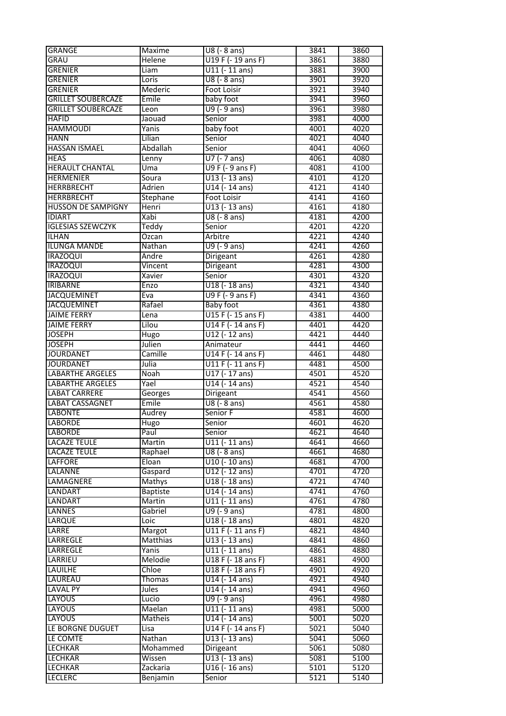| <b>GRANGE</b>                              | Maxime          | U8 (- 8 ans)       | 3841             | 3860 |
|--------------------------------------------|-----------------|--------------------|------------------|------|
| <b>GRAU</b>                                | <b>Helene</b>   | U19 F (- 19 ans F) | 3861             | 3880 |
| <b>GRENIER</b>                             | Liam            | $U11 (-11 ans)$    | 3881             | 3900 |
| <b>GRENIER</b>                             | Loris           | U8 (- 8 ans)       | 3901             | 3920 |
| <b>GRENIER</b>                             | Mederic         | <b>Foot Loisir</b> | 3921             | 3940 |
| <b>GRILLET SOUBERCAZE</b>                  | Emile           | baby foot          | 3941             | 3960 |
| <b>GRILLET SOUBERCAZE</b>                  | Leon            | U9 (- 9 ans)       | 3961             | 3980 |
| <b>HAFID</b>                               | Jaouad          | Senior             | 3981             | 4000 |
| <b>HAMMOUDI</b>                            | Yanis           | baby foot          | 4001             | 4020 |
| <b>HANN</b>                                | Lilian          | Senior             | 4021             | 4040 |
| <b>HASSAN ISMAEL</b>                       | Abdallah        | Senior             | 4041             | 4060 |
| <b>HEAS</b>                                |                 | U7 (- 7 ans)       | 4061             | 4080 |
| <b>HERAULT CHANTAL</b>                     | Lenny           |                    |                  |      |
|                                            | Uma             | $U9F(-9ansF)$      | 4081             | 4100 |
| <b>HERMENIER</b>                           | Soura           | U13 (-13 ans)      | 4101             | 4120 |
| <b>HERRBRECHT</b>                          | Adrien          | U14 (-14 ans)      | 4121             | 4140 |
| <b>HERRBRECHT</b>                          | Stephane        | <b>Foot Loisir</b> | 4141             | 4160 |
| <b>HUSSON DE SAMPIGNY</b>                  | Henri           | U13 (-13 ans)      | 4161             | 4180 |
| <b>IDIART</b>                              | Xabi            | U8 (- 8 ans)       | 4181             | 4200 |
| <b>IGLESIAS SZEWCZYK</b>                   | Teddy           | Senior             | 4201             | 4220 |
| <b>ILHAN</b>                               | Ozcan           | Arbitre            | 4221             | 4240 |
| ILUNGA MANDE                               | Nathan          | $U9$ (-9 ans)      | $\frac{1}{4241}$ | 4260 |
| <b>IRAZOQUI</b>                            | Andre           | Dirigeant          | 4261             | 4280 |
| <b>IRAZOQUI</b>                            | Vincent         | Dirigeant          | 4281             | 4300 |
| <b>IRAZOQUI</b>                            | Xavier          | Senior             | 4301             | 4320 |
| <b>IRIBARNE</b>                            | Enzo            | U18 (-18 ans)      | 4321             | 4340 |
| <b>JACQUEMINET</b>                         | Eva             | U9 F (- 9 ans F)   | 4341             | 4360 |
| <b>JACQUEMINET</b>                         | Rafael          | <b>Baby foot</b>   | 4361             | 4380 |
| <b>JAIME FERRY</b>                         | Lena            | U15 F (- 15 ans F) | 4381             | 4400 |
| <b>JAIME FERRY</b>                         | Lilou           | U14 F (- 14 ans F) | 4401             | 4420 |
| <b>JOSEPH</b>                              | Hugo            | $U12$ (-12 ans)    | 4421             | 4440 |
| <b>JOSEPH</b>                              | Julien          | Animateur          | 4441             | 4460 |
| <b>JOURDANET</b>                           | Camille         | U14 F (-14 ans F)  | 4461             | 4480 |
| <b>JOURDANET</b>                           | Julia           | U11 F (-11 ans F)  | 4481             | 4500 |
| <b>LABARTHE ARGELES</b>                    | <b>Noah</b>     | U17 (-17 ans)      | 4501             | 4520 |
| <b>LABARTHE ARGELES</b>                    | Yael            | U14 (-14 ans)      | 4521             | 4540 |
| <b>LABAT CARRERE</b>                       | Georges         | Dirigeant          | 4541             | 4560 |
| <b>LABAT CASSAGNET</b>                     | Emile           | U8 (- 8 ans)       | 4561             | 4580 |
| <b>LABONTE</b>                             | Audrey          | Senior F           | 4581             | 4600 |
| <b>LABORDE</b>                             | Hugo            | Senior             | 4601             | 4620 |
| <b>LABORDE</b>                             | Paul            | Senior             | 4621             | 4640 |
|                                            |                 |                    |                  |      |
| <b>LACAZE TEULE</b><br><b>LACAZE TEULE</b> | Martin          | $U11 (-11 ans)$    | 4641             | 4660 |
|                                            | Raphael         | U8 (- 8 ans)       | 4661             | 4680 |
| LAFFORE                                    | Eloan           | $U10 (-10$ ans)    | 4681             | 4700 |
| LALANNE                                    | Gaspard         | U12 (-12 ans)      | 4701             | 4720 |
| LAMAGNERE                                  | Mathys          | U18 (-18 ans)      | 4721             | 4740 |
| LANDART                                    | <b>Baptiste</b> | U14 (-14 ans)      | 4741             | 4760 |
| <b>LANDART</b>                             | Martin          | $U11$ (-11 ans)    | 4761             | 4780 |
| <b>LANNES</b>                              | Gabriel         | $U9$ (-9 ans)      | 4781             | 4800 |
| LARQUE                                     | Loic            | U18 (-18 ans)      | 4801             | 4820 |
| LARRE                                      | Margot          | $U11F(-11ansF)$    | 4821             | 4840 |
| LARREGLE                                   | Matthias        | $U13 (-13 ans)$    | 4841             | 4860 |
| LARREGLE                                   | Yanis           | $U11$ (-11 ans)    | 4861             | 4880 |
| LARRIEU                                    | Melodie         | U18 F (-18 ans F)  | 4881             | 4900 |
| LAUILHE                                    | Chloe           | U18 F (-18 ans F)  | 4901             | 4920 |
| LAUREAU                                    | Thomas          | $U14$ (-14 ans)    | 4921             | 4940 |
| <b>LAVAL PY</b>                            | Jules           | U14 (-14 ans)      | 4941             | 4960 |
| <b>LAYOUS</b>                              | Lucio           | $U9$ (-9 ans)      | 4961             | 4980 |
| <b>LAYOUS</b>                              | Maelan          | $U11 (-11 ans)$    | 4981             | 5000 |
| LAYOUS                                     | Matheis         | U14 (-14 ans)      | 5001             | 5020 |
| LE BORGNE DUGUET                           | Lisa            | U14 F (-14 ans F)  | 5021             | 5040 |
| LE COMTE                                   | Nathan          | U13 (-13 ans)      | 5041             | 5060 |
| <b>LECHKAR</b>                             | Mohammed        | Dirigeant          | 5061             | 5080 |
| <b>LECHKAR</b>                             | Wissen          | U13 (-13 ans)      | 5081             | 5100 |
| LECHKAR                                    | Zackaria        | $U16$ (-16 ans)    | 5101             | 5120 |
| <b>LECLERC</b>                             | Benjamin        | Senior             | 5121             | 5140 |
|                                            |                 |                    |                  |      |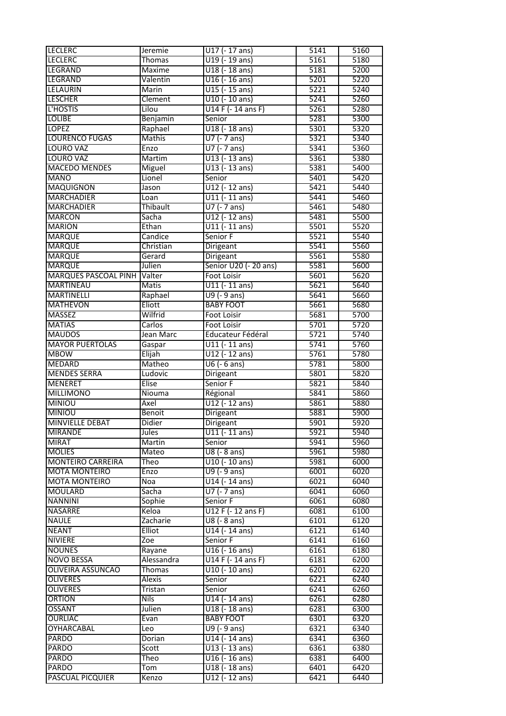| <b>LECLERC</b>           | <b>Jeremie</b> | $U17$ (-17 ans)                        | 5141 | 5160 |
|--------------------------|----------------|----------------------------------------|------|------|
| <b>LECLERC</b>           | Thomas         | U19 (-19 ans)                          | 5161 | 5180 |
| <b>LEGRAND</b>           | Maxime         | U18 (-18 ans)                          | 5181 | 5200 |
| LEGRAND                  | Valentin       | $U16$ (-16 ans)                        | 5201 | 5220 |
| <b>LELAURIN</b>          | Marin          | $U15$ (- 15 ans)                       | 5221 | 5240 |
| <b>LESCHER</b>           | Clement        | $U10$ (- 10 ans)                       | 5241 | 5260 |
| L'HOSTIS                 | Lilou          | U14 F (-14 ans F)                      | 5261 | 5280 |
| <b>LOLIBE</b>            | Benjamin       | Senior                                 | 5281 | 5300 |
| <b>LOPEZ</b>             | Raphael        | U18 (-18 ans)                          | 5301 | 5320 |
| <b>LOURENCO FUGAS</b>    | <b>Mathis</b>  | $U7$ (- 7 ans)                         | 5321 | 5340 |
| <b>LOURO VAZ</b>         | Enzo           | $U7$ (- 7 ans)                         | 5341 | 5360 |
| <b>LOURO VAZ</b>         | Martim         | U13 (-13 ans)                          | 5361 | 5380 |
| <b>MACEDO MENDES</b>     | Miguel         | $U13$ (- 13 ans)                       | 5381 | 5400 |
| <b>MANO</b>              | Lionel         | Senior                                 | 5401 | 5420 |
| MAQUIGNON                | Jason          | U12 (-12 ans)                          | 5421 | 5440 |
| <b>MARCHADIER</b>        | Loan           | $U11$ (-11 ans)                        | 5441 | 5460 |
| <b>MARCHADIER</b>        | Thibault       | $U7$ (- 7 ans)                         | 5461 | 5480 |
| <b>MARCON</b>            | Sacha          | U12 (-12 ans)                          | 5481 | 5500 |
| <b>MARION</b>            | Ethan          | $U11$ (-11 ans)                        | 5501 | 5520 |
| <b>MARQUE</b>            | Candice        | Senior F                               | 5521 | 5540 |
| <b>MARQUE</b>            | Christian      | Dirigeant                              | 5541 | 5560 |
| <b>MARQUE</b>            | Gerard         | Dirigeant                              | 5561 | 5580 |
| <b>MARQUE</b>            | Julien         | Senior U20 (- 20 ans)                  | 5581 | 5600 |
| MARQUES PASCOAL PINH     | Valter         | Foot Loisir                            | 5601 | 5620 |
| <b>MARTINEAU</b>         | Matis          | $U11 (-11 ans)$                        | 5621 | 5640 |
| <b>MARTINELLI</b>        | Raphael        | $U9$ (-9 ans)                          | 5641 | 5660 |
| <b>MATHEVON</b>          | Eliott         | <b>BABY FOOT</b>                       | 5661 | 5680 |
| <b>MASSEZ</b>            | Wilfrid        | Foot Loisir                            | 5681 | 5700 |
| <b>MATIAS</b>            | Carlos         | <b>Foot Loisir</b>                     | 5701 | 5720 |
| <b>MAUDOS</b>            | Jean Marc      | Educateur Fédéral                      | 5721 | 5740 |
| <b>MAYOR PUERTOLAS</b>   | Gaspar         | $U11 (-11 ans)$                        | 5741 | 5760 |
| <b>MBOW</b>              | Elijah         | U12 (-12 ans)                          | 5761 | 5780 |
| <b>MEDARD</b>            | Matheo         | $U6$ (- 6 ans)                         | 5781 | 5800 |
| <b>MENDES SERRA</b>      | Ludovic        | Dirigeant                              | 5801 | 5820 |
| <b>MENERET</b>           | Elise          | Senior F                               | 5821 | 5840 |
| <b>MILLIMONO</b>         | Niouma         | Régional                               | 5841 | 5860 |
| <b>MINIOU</b>            | Axel           | U12 (-12 ans)                          | 5861 | 5880 |
| <b>MINIOU</b>            | Benoit         | Dirigeant                              | 5881 | 5900 |
| <b>MINVIELLE DEBAT</b>   | Didier         | Dirigeant                              | 5901 | 5920 |
| <b>MIRANDE</b>           | Jules          | $U11$ (- 11 ans)                       | 5921 | 5940 |
| <b>MIRAT</b>             | Martin         | Senior                                 | 5941 | 5960 |
| <b>MOLIES</b>            | Mateo          | $US (- 8 ans)$                         | 5961 | 5980 |
| <b>MONTEIRO CARREIRA</b> | Theo           | $U10$ (- 10 ans)                       | 5981 | 6000 |
| <b>MOTA MONTEIRO</b>     | Enzo           | $U9$ (-9 ans)                          | 6001 | 6020 |
| <b>MOTA MONTEIRO</b>     | Noa            | $U14$ (-14 ans)                        | 6021 | 6040 |
| <b>MOULARD</b>           | Sacha          | $U7$ (- 7 ans)                         | 6041 | 6060 |
| <b>NANNINI</b>           | Sophie         | Senior F                               | 6061 | 6080 |
| <b>NASARRE</b>           | Keloa          | U12 F (-12 ans F)                      | 6081 | 6100 |
| <b>NAULE</b>             | Zacharie       | $\overline{UB}$ (- $\overline{8}$ ans) | 6101 | 6120 |
| <b>NEANT</b>             | Elliot         | $U14$ (-14 ans)                        | 6121 | 6140 |
| <b>NIVIERE</b>           | Zoe            | Senior F                               | 6141 | 6160 |
| <b>NOUNES</b>            | Rayane         | $U16$ (- 16 ans)                       | 6161 | 6180 |
| <b>NOVO BESSA</b>        | Alessandra     | $U14F(-14ansF)$                        | 6181 | 6200 |
| <b>OLIVEIRA ASSUNCAO</b> | Thomas         | $U10$ (- 10 ans)                       | 6201 | 6220 |
| <b>OLIVERES</b>          | Alexis         | Senior                                 | 6221 | 6240 |
| <b>OLIVERES</b>          | Tristan        | Senior                                 | 6241 | 6260 |
| ORTION                   | <b>Nils</b>    | U14 (-14 ans)                          | 6261 | 6280 |
| <b>OSSANT</b>            | Julien         | U18 (-18 ans)                          | 6281 | 6300 |
| <b>OURLIAC</b>           | Evan           | <b>BABY FOOT</b>                       | 6301 | 6320 |
| <b>OYHARCABAL</b>        | Leo            | $U9$ (-9 ans)                          | 6321 | 6340 |
| <b>PARDO</b>             | Dorian         | $U14$ (-14 ans)                        | 6341 | 6360 |
| <b>PARDO</b>             | Scott          | $\overline{U13}$ (-13 ans)             | 6361 | 6380 |
| PARDO                    | Theo           | $U16$ (- 16 ans)                       | 6381 | 6400 |
| PARDO                    | Tom            | U18 (-18 ans)                          | 6401 | 6420 |
| <b>PASCUAL PICQUIER</b>  | Kenzo          | U12 (-12 ans)                          | 6421 | 6440 |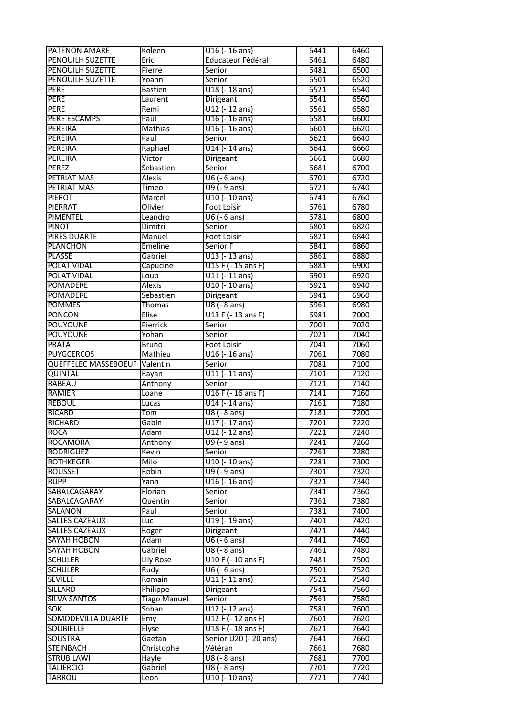| <b>PATENON AMARE</b>        | Koleen              | $U16$ (-16 ans)           | 6441 | 6460 |
|-----------------------------|---------------------|---------------------------|------|------|
| <b>PENOUILH SUZETTE</b>     | Eric                | Educateur Fédéral         | 6461 | 6480 |
| <b>PENOUILH SUZETTE</b>     | Pierre              | Senior                    | 6481 | 6500 |
| <b>PENOUILH SUZETTE</b>     | Yoann               | Senior                    | 6501 | 6520 |
| <b>PERE</b>                 | <b>Bastien</b>      | U18 (-18 ans)             | 6521 | 6540 |
| <b>PERE</b>                 | Laurent             | Dirigeant                 | 6541 | 6560 |
| <b>PERE</b>                 | Remi                | U12 (-12 ans)             | 6561 | 6580 |
| PERE ESCAMPS                | Paul                | $U16$ (-16 ans)           | 6581 | 6600 |
| <b>PEREIRA</b>              | <b>Mathias</b>      | $U16$ (- 16 ans)          | 6601 | 6620 |
| <b>PEREIRA</b>              | Paul                |                           | 6621 |      |
|                             |                     | Senior                    |      | 6640 |
| PEREIRA                     | Raphael             | U14 (-14 ans)             | 6641 | 6660 |
| <b>PEREIRA</b>              | Victor              | Dirigeant                 | 6661 | 6680 |
| <b>PEREZ</b>                | Sebastien           | Senior                    | 6681 | 6700 |
| <b>PETRIAT MAS</b>          | Alexis              | $U6$ (- 6 ans)            | 6701 | 6720 |
| <b>PETRIAT MAS</b>          | <b>Timeo</b>        | $U9$ (-9 ans)             | 6721 | 6740 |
| <b>PIEROT</b>               | Marcel              | $U10$ (- 10 ans)          | 6741 | 6760 |
| PIERRAT                     | Olivier             | <b>Foot Loisir</b>        | 6761 | 6780 |
| PIMENTEL                    | Leandro             | $U6$ (- 6 ans)            | 6781 | 6800 |
| <b>PINOT</b>                | Dimitri             | Senior                    | 6801 | 6820 |
| <b>PIRES DUARTE</b>         | Manuel              | <b>Foot Loisir</b>        | 6821 | 6840 |
| <b>PLANCHON</b>             | Emeline             | Senior F                  | 6841 | 6860 |
| <b>PLASSE</b>               | Gabriel             | U13 (-13 ans)             | 6861 | 6880 |
| POLAT VIDAL                 | Capucine            | U15 F (- 15 ans F)        | 6881 | 6900 |
| <b>POLAT VIDAL</b>          | Loup                | $U11 (-11$ ans)           | 6901 | 6920 |
| <b>POMADERE</b>             | Alexis              | U10 (-10 ans)             | 6921 | 6940 |
| POMADERE                    | Sebastien           | Dirigeant                 | 6941 | 6960 |
| <b>POMMES</b>               | Thomas              | U8 (- 8 ans)              | 6961 | 6980 |
| <b>PONCON</b>               | Elise               | U13 F (-13 ans F)         | 6981 | 7000 |
| <b>POUYOUNE</b>             | Pierrick            | Senior                    | 7001 | 7020 |
| <b>POUYOUNE</b>             | Yohan               | Senior                    | 7021 | 7040 |
| <b>PRATA</b>                | <b>Bruno</b>        | <b>Foot Loisir</b>        | 7041 | 7060 |
| <b>PUYGCERCOS</b>           | Mathieu             | $U16$ (- 16 ans)          | 7061 | 7080 |
| <b>QUEFFELEC MASSEBOEUF</b> | Valentin            | Senior                    | 7081 | 7100 |
| <b>QUINTAL</b>              |                     | $U11$ (-11 ans)           | 7101 | 7120 |
| <b>RABEAU</b>               | Rayan               |                           | 7121 | 7140 |
|                             | Anthony             | Senior                    |      |      |
| <b>RAMIER</b>               | Loane               | U16 F (-16 ans F)         | 7141 | 7160 |
| <b>REBOUL</b>               | Lucas               | U14 (-14 ans)             | 7161 | 7180 |
| <b>RICARD</b>               | Tom                 | U8 (- 8 ans)              | 7181 | 7200 |
| <b>RICHARD</b>              | Gabin               | U17 (-17 ans)             | 7201 | 7220 |
| <b>ROCA</b>                 | Adam                | U12 (-12 ans)             | 7221 | 7240 |
| <b>ROCAMORA</b>             | Anthony             | U9 (- 9 ans)              | 7241 | 7260 |
| <b>RODRIGUEZ</b>            | Kevin               | Senior                    | 7261 | 7280 |
| <b>ROTHKEGER</b>            | Milo                | U10 (-10 ans)             | 7281 | 7300 |
| <b>ROUSSET</b>              | Robin               | U9 (- 9 ans)              | 7301 | 7320 |
| <b>RUPP</b>                 | Yann                | $U16$ (-16 ans)           | 7321 | 7340 |
| SABALCAGARAY                | Florian             | Senior                    | 7341 | 7360 |
| SABALCAGARAY                | Quentin             | Senior                    | 7361 | 7380 |
| <b>SALANON</b>              | Paul                | Senior                    | 7381 | 7400 |
| <b>SALLES CAZEAUX</b>       | Luc                 | U19 (-19 ans)             | 7401 | 7420 |
| <b>SALLES CAZEAUX</b>       | Roger               | Dirigeant                 | 7421 | 7440 |
| SAYAH HOBON                 | Adam                | $U6$ (- 6 ans)            | 7441 | 7460 |
| <b>SAYAH HOBON</b>          | Gabriel             | U8 (- 8 ans)              | 7461 | 7480 |
| <b>SCHULER</b>              | <b>Lily Rose</b>    | U10 F (- 10 ans F)        | 7481 | 7500 |
| <b>SCHULER</b>              | Rudy                | $U6$ (- 6 ans)            | 7501 | 7520 |
| <b>SEVILLE</b>              | Romain              | U11 (-11 ans)             | 7521 | 7540 |
| SILLARD                     | Philippe            | Dirigeant                 | 7541 | 7560 |
| <b>SILVA SANTOS</b>         | <b>Tiago Manuel</b> | Senior                    | 7561 | 7580 |
| <b>SOK</b>                  | Sohan               | $U12$ (-12 ans)           | 7581 | 7600 |
| <b>SOMODEVILLA DUARTE</b>   | Emy                 | U12 F (-12 ans F)         | 7601 | 7620 |
| <b>SOUBIELLE</b>            | Elyse               | U18 F (-18 ans F)         | 7621 | 7640 |
| <b>SOUSTRA</b>              |                     | Senior U20 (- 20 ans)     | 7641 | 7660 |
|                             | Gaetan              |                           | 7661 |      |
| <b>STEINBACH</b>            | Christophe          | Vétéran                   |      | 7680 |
| <b>STRUB LAWI</b>           | Hayle               | U8 (- 8 ans)              | 7681 | 7700 |
| <b>TALIERCIO</b>            | Gabriel             | $\overline{UB}$ (- 8 ans) | 7701 | 7720 |
| <b>TARROU</b>               | Leon                | U10 (-10 ans)             | 7721 | 7740 |